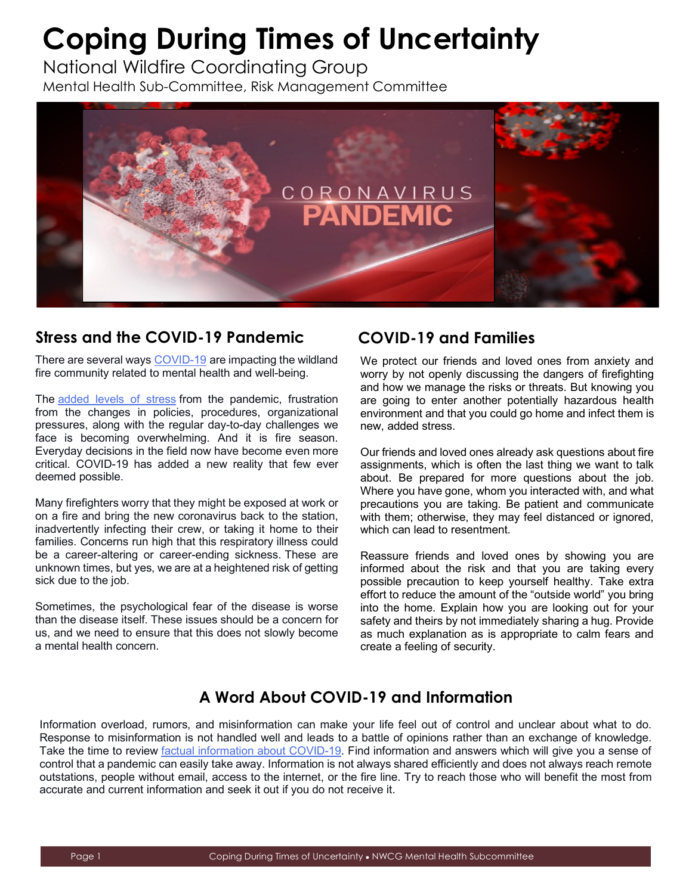# **Coping During Times of Uncertainty**

National Wildfire Coordinating Group Mental Health Sub-Committee, Risk Management Committee



### **Stress and the COVID-19 Pandemic**

There are several ways [COVID-19](https://www.policeone.com/coronavirus-covid-19/) are impacting the wildland fire community related to mental health and well-being.

The [added levels of stress](https://www.cdc.gov/coronavirus/2019-ncov/daily-life-coping/managing-stress-anxiety.html) from the pandemic, frustration from the changes in policies, procedures, organizational pressures, along with the regular day-to-day challenges we face is becoming overwhelming. And it is fire season. Everyday decisions in the field now have become even more critical. COVID-19 has added a new reality that few ever deemed possible.

Many firefighters worry that they might be exposed at work or on a fire and bring the new coronavirus back to the station, inadvertently infecting their crew, or taking it home to their families. Concerns run high that this respiratory illness could be a career-altering or career-ending sickness. These are unknown times, but yes, we are at a heightened risk of getting sick due to the job.

[Sometimes, the psychological fear of the disease is worse](https://www.cdc.gov/coronavirus/2019-ncov/index.html)  than the disease itself. These issues should be a concern for us, and we need to ensure that this does not slowly become a mental health concern.

## **COVID-19 and Families**

We protect our friends and loved ones from anxiety and worry by not openly discussing the dangers of firefighting and how we manage the risks or threats. But knowing you are going to enter another potentially hazardous health environment and that you could go home and infect them is new, added stress.

Our friends and loved ones already ask questions about fire assignments, which is often the last thing we want to talk about. Be prepared for more questions about the job. Where you have gone, whom you interacted with, and what precautions you are taking. Be patient and communicate with them; otherwise, they may feel distanced or ignored, which can lead to resentment.

Reassure friends and loved ones by showing you are informed about the risk and that you are taking every possible precaution to keep yourself healthy. Take extra effort to reduce the amount of the "outside world" you bring into the home. Explain how you are looking out for your safety and theirs by not immediately sharing a hug. Provide as much explanation as is appropriate to calm fears and create a feeling of security.

## **A Word About COVID-19 and Information**

control that a pandemic can easily take away. Information is not always shared efficiently and does not always reach remote Information overload, rumors, and misinformation can make your life feel out of control and unclear about what to do. Response to misinformation is not handled well and leads to a battle of opinions rather than an exchange of knowledge. Take the time to review [factual information about COVID-19.](https://www.cdc.gov/coronavirus/2019-ncov/index.html) Find information and answers which will give you a sense of outstations, people without email, access to the internet, or the fire line. Try to reach those who will benefit the most from accurate and current information and seek it out if you do not receive it.